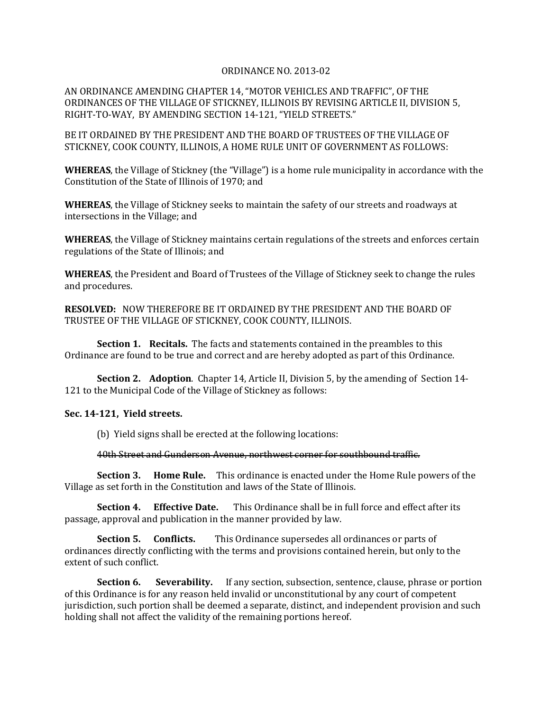## ORDINANCE NO. 2013-02

AN ORDINANCE AMENDING CHAPTER 14, "MOTOR VEHICLES AND TRAFFIC", OF THE ORDINANCES OF THE VILLAGE OF STICKNEY, ILLINOIS BY REVISING ARTICLE II, DIVISION 5, RIGHT-TO-WAY, BY AMENDING SECTION 14-121, "YIELD STREETS."

BE IT ORDAINED BY THE PRESIDENT AND THE BOARD OF TRUSTEES OF THE VILLAGE OF STICKNEY, COOK COUNTY, ILLINOIS, A HOME RULE UNIT OF GOVERNMENT AS FOLLOWS:

**WHEREAS**, the Village of Stickney (the "Village") is a home rule municipality in accordance with the Constitution of the State of Illinois of 1970; and

**WHEREAS**, the Village of Stickney seeks to maintain the safety of our streets and roadways at intersections in the Village; and

**WHEREAS**, the Village of Stickney maintains certain regulations of the streets and enforces certain regulations of the State of Illinois; and

**WHEREAS**, the President and Board of Trustees of the Village of Stickney seek to change the rules and procedures.

**RESOLVED:** NOW THEREFORE BE IT ORDAINED BY THE PRESIDENT AND THE BOARD OF TRUSTEE OF THE VILLAGE OF STICKNEY, COOK COUNTY, ILLINOIS.

**Section 1. Recitals.** The facts and statements contained in the preambles to this Ordinance are found to be true and correct and are hereby adopted as part of this Ordinance.

**Section 2. Adoption**. Chapter 14, Article II, Division 5, by the amending of Section 14- 121 to the Municipal Code of the Village of Stickney as follows:

## **Sec. 14-121, Yield streets.**

(b) Yield signs shall be erected at the following locations:

40th Street and Gunderson Avenue, northwest corner for southbound traffic.

**Section 3. Home Rule.** This ordinance is enacted under the Home Rule powers of the Village as set forth in the Constitution and laws of the State of Illinois.

**Section 4. Effective Date.** This Ordinance shall be in full force and effect after its passage, approval and publication in the manner provided by law.

**Section 5. Conflicts.** This Ordinance supersedes all ordinances or parts of ordinances directly conflicting with the terms and provisions contained herein, but only to the extent of such conflict.

**Section 6.** Severability. If any section, subsection, sentence, clause, phrase or portion of this Ordinance is for any reason held invalid or unconstitutional by any court of competent jurisdiction, such portion shall be deemed a separate, distinct, and independent provision and such holding shall not affect the validity of the remaining portions hereof.